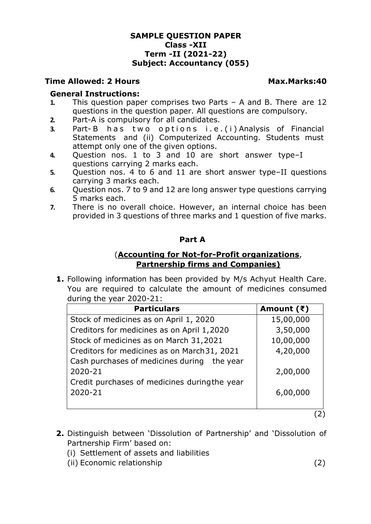## **SAMPLE QUESTION PAPER Class -XII Term -II (2021-22) Subject: Accountancy (055)**

## **Time Allowed: 2 Hours Max.Marks:40**

#### **General Instructions:**

- **1.** This question paper comprises two Parts A and B. There are 12 questions in the question paper. All questions are compulsory.
- **2.** Part-A is compulsory for all candidates.
- **3.** Part-B has two options i.e.(i) Analysis of Financial Statements and (ii) Computerized Accounting. Students must attempt only one of the given options.
- **4.** Question nos. 1 to 3 and 10 are short answer type–I questions carrying 2 marks each.
- **5.** Question nos. 4 to 6 and 11 are short answer type–II questions carrying 3 marks each.
- **6.** Question nos. 7 to 9 and 12 are long answer type questions carrying 5 marks each.
- **7.** There is no overall choice. However, an internal choice has been provided in 3 questions of three marks and 1 question of five marks.

## **Part A**

# (**Accounting for Not-for-Profit organizations**, **Partnership firms and Companies)**

**1.** Following information has been provided by M/s Achyut Health Care. You are required to calculate the amount of medicines consumed during the year 2020-21:

| <b>Particulars</b>                            | Amount $(\bar{z})$ |
|-----------------------------------------------|--------------------|
| Stock of medicines as on April 1, 2020        | 15,00,000          |
| Creditors for medicines as on April 1,2020    | 3,50,000           |
| Stock of medicines as on March 31,2021        | 10,00,000          |
| Creditors for medicines as on March 31, 2021  | 4,20,000           |
| Cash purchases of medicines during the year   |                    |
| 2020-21                                       | 2,00,000           |
| Credit purchases of medicines during the year |                    |
| 2020-21                                       | 6,00,000           |
|                                               |                    |

(2)

- **2.** Distinguish between 'Dissolution of Partnership' and 'Dissolution of Partnership Firm' based on:
	- (i) Settlement of assets and liabilities
	- (ii) Economic relationship (2)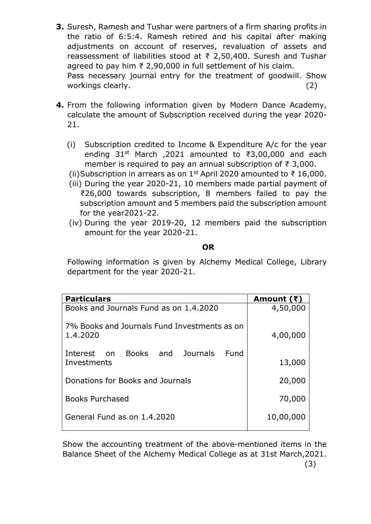- **3.** Suresh, Ramesh and Tushar were partners of a firm sharing profits in the ratio of 6:5:4. Ramesh retired and his capital after making adjustments on account of reserves, revaluation of assets and reassessment of liabilities stood at ₹ 2,50,400. Suresh and Tushar agreed to pay him ₹ 2,90,000 in full settlement of his claim. Pass necessary journal entry for the treatment of goodwill. Show workings clearly. (2)
- **4.** From the following information given by Modern Dance Academy, calculate the amount of Subscription received during the year 2020- 21.
	- (i) Subscription credited to Income & Expenditure A/c for the year ending 31st March ,2021 amounted to ₹3,00,000 and each member is required to pay an annual subscription of ₹ 3,000.
	- (ii)Subscription in arrears as on 1<sup>st</sup> April 2020 amounted to ₹16,000.
	- (iii) During the year 2020-21, 10 members made partial payment of ₹26,000 towards subscription, 8 members failed to pay the subscription amount and 5 members paid the subscription amount for the year2021-22.
	- (iv) During the year 2019-20, 12 members paid the subscription amount for the year 2020-21.

# **OR**

Following information is given by Alchemy Medical College, Library department for the year 2020-21.

| <b>Particulars</b>                                       | Amount $(\bar{z})$ |
|----------------------------------------------------------|--------------------|
| Books and Journals Fund as on 1.4.2020                   | 4,50,000           |
| 7% Books and Journals Fund Investments as on<br>1.4.2020 | 4,00,000           |
| Books and Journals<br>Fund<br>Interest on<br>Investments | 13,000             |
| Donations for Books and Journals                         | 20,000             |
| <b>Books Purchased</b>                                   | 70,000             |
| General Fund as on 1.4.2020                              | 10,00,000          |
|                                                          |                    |

Show the accounting treatment of the above-mentioned items in the Balance Sheet of the Alchemy Medical College as at 31st March,2021.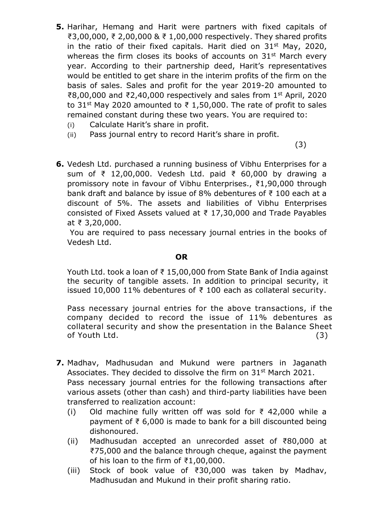- **5.** Harihar, Hemang and Harit were partners with fixed capitals of ₹3,00,000, ₹ 2,00,000 & ₹ 1,00,000 respectively. They shared profits in the ratio of their fixed capitals. Harit died on  $31^{st}$  May, 2020, whereas the firm closes its books of accounts on 31<sup>st</sup> March every year. According to their partnership deed, Harit's representatives would be entitled to get share in the interim profits of the firm on the basis of sales. Sales and profit for the year 2019-20 amounted to ₹8,00,000 and ₹2,40,000 respectively and sales from 1st April, 2020 to 31<sup>st</sup> May 2020 amounted to ₹ 1,50,000. The rate of profit to sales remained constant during these two years. You are required to:
	- (i) Calculate Harit's share in profit.
	- (ii) Pass journal entry to record Harit's share in profit.

 $(3)$ 

**6.** Vedesh Ltd. purchased a running business of Vibhu Enterprises for a sum of ₹ 12,00,000. Vedesh Ltd. paid ₹ 60,000 by drawing a promissory note in favour of Vibhu Enterprises., ₹1,90,000 through bank draft and balance by issue of 8% debentures of ₹ 100 each at a discount of 5%. The assets and liabilities of Vibhu Enterprises consisted of Fixed Assets valued at ₹ 17,30,000 and Trade Payables at ₹ 3,20,000.

You are required to pass necessary journal entries in the books of Vedesh Ltd.

#### **OR**

Youth Ltd. took a loan of ₹ 15,00,000 from State Bank of India against the security of tangible assets. In addition to principal security, it issued 10,000 11% debentures of ₹ 100 each as collateral security.

Pass necessary journal entries for the above transactions, if the company decided to record the issue of 11% debentures as collateral security and show the presentation in the Balance Sheet of Youth Ltd. (3)

- **7.** Madhav, Madhusudan and Mukund were partners in Jaganath Associates. They decided to dissolve the firm on 31<sup>st</sup> March 2021. Pass necessary journal entries for the following transactions after various assets (other than cash) and third-party liabilities have been transferred to realization account:
	- (i) Old machine fully written off was sold for  $\bar{\tau}$  42,000 while a payment of ₹ 6,000 is made to bank for a bill discounted being dishonoured.
	- (ii) Madhusudan accepted an unrecorded asset of ₹80,000 at ₹75,000 and the balance through cheque, against the payment of his loan to the firm of  $\bar{z}1,00,000$ .
	- (iii) Stock of book value of ₹30,000 was taken by Madhav, Madhusudan and Mukund in their profit sharing ratio.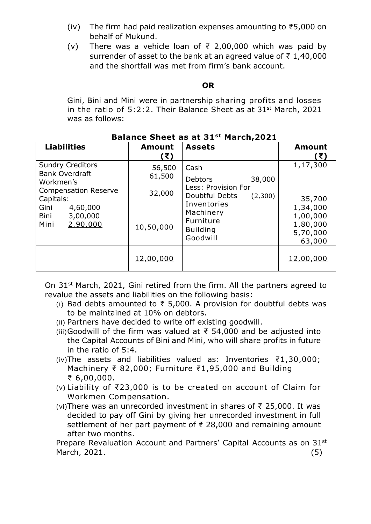- (iv) The firm had paid realization expenses amounting to ₹5,000 on behalf of Mukund.
- (v) There was a vehicle loan of  $\overline{\xi}$  2,00,000 which was paid by surrender of asset to the bank at an agreed value of ₹ 1,40,000 and the shortfall was met from firm's bank account.

## **OR**

Gini, Bini and Mini were in partnership sharing profits and losses in the ratio of  $5:2:2$ . Their Balance Sheet as at  $31<sup>st</sup>$  March, 2021 was as follows:

| Palance Sheet as at St<br>March, ZVZI                                                                                                                                 |                                         |                                                                                                                                                                     |                                                                              |  |
|-----------------------------------------------------------------------------------------------------------------------------------------------------------------------|-----------------------------------------|---------------------------------------------------------------------------------------------------------------------------------------------------------------------|------------------------------------------------------------------------------|--|
| <b>Liabilities</b>                                                                                                                                                    | <b>Amount</b><br>(₹)                    | <b>Assets</b>                                                                                                                                                       | <b>Amount</b><br>(₹)                                                         |  |
| <b>Sundry Creditors</b><br><b>Bank Overdraft</b><br>Workmen's<br><b>Compensation Reserve</b><br>Capitals:<br>Gini<br>4,60,000<br>3,00,000<br>Bini<br>2,90,000<br>Mini | 56,500<br>61,500<br>32,000<br>10,50,000 | Cash<br>38,000<br><b>Debtors</b><br>Less: Provision For<br>Doubtful Debts<br><u>(2,300)</u><br>Inventories<br>Machinery<br>Furniture<br><b>Building</b><br>Goodwill | 1,17,300<br>35,700<br>1,34,000<br>1,00,000<br>1,80,000<br>5,70,000<br>63,000 |  |
|                                                                                                                                                                       | 12,00,000                               |                                                                                                                                                                     | 12,00,000                                                                    |  |

# **Balance Sheet as at 31st March,2021**

On 31<sup>st</sup> March, 2021, Gini retired from the firm. All the partners agreed to revalue the assets and liabilities on the following basis:

- (i) Bad debts amounted to ₹ 5,000. A provision for doubtful debts was to be maintained at 10% on debtors.
- (ii) Partners have decided to write off existing goodwill.
- (iii)Goodwill of the firm was valued at  $\bar{\tau}$  54,000 and be adjusted into the Capital Accounts of Bini and Mini, who will share profits in future in the ratio of 5:4.
- (iv)The assets and liabilities valued as: Inventories ₹1,30,000; Machinery ₹ 82,000; Furniture ₹1,95,000 and Building ₹ 6,00,000.
- (v) Liability of ₹23,000 is to be created on account of Claim for Workmen Compensation.
- (vi)There was an unrecorded investment in shares of ₹ 25,000. It was decided to pay off Gini by giving her unrecorded investment in full settlement of her part payment of ₹ 28,000 and remaining amount after two months.

Prepare Revaluation Account and Partners' Capital Accounts as on 31st March, 2021. (5)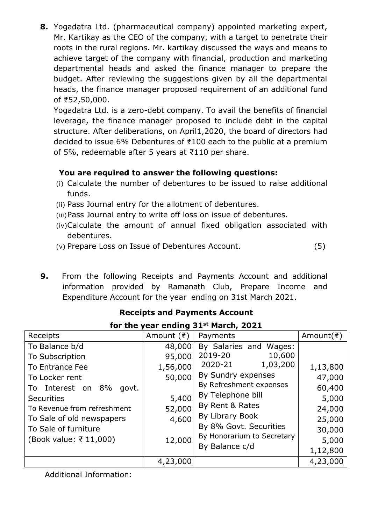**8.** Yogadatra Ltd. (pharmaceutical company) appointed marketing expert, Mr. Kartikay as the CEO of the company, with a target to penetrate their roots in the rural regions. Mr. kartikay discussed the ways and means to achieve target of the company with financial, production and marketing departmental heads and asked the finance manager to prepare the budget. After reviewing the suggestions given by all the departmental heads, the finance manager proposed requirement of an additional fund of ₹52,50,000.

Yogadatra Ltd. is a zero-debt company. To avail the benefits of financial leverage, the finance manager proposed to include debt in the capital structure. After deliberations, on April1,2020, the board of directors had decided to issue 6% Debentures of ₹100 each to the public at a premium of 5%, redeemable after 5 years at ₹110 per share.

# **You are required to answer the following questions:**

- (i) Calculate the number of debentures to be issued to raise additional funds.
- (ii) Pass Journal entry for the allotment of debentures.
- (iii)Pass Journal entry to write off loss on issue of debentures.
- (iv)Calculate the amount of annual fixed obligation associated with debentures.
- (v) Prepare Loss on Issue of Debentures Account. (5)
- **9.** From the following Receipts and Payments Account and additional information provided by Ramanath Club, Prepare Income and Expenditure Account for the year ending on 31st March 2021.

| TOT LITE YEAT ENGING 31 MAILIT, 2021                                                                                                                                                                                                       |                                                                              |                                                                                                                                                                                                                                                          |                                                                                          |  |
|--------------------------------------------------------------------------------------------------------------------------------------------------------------------------------------------------------------------------------------------|------------------------------------------------------------------------------|----------------------------------------------------------------------------------------------------------------------------------------------------------------------------------------------------------------------------------------------------------|------------------------------------------------------------------------------------------|--|
| Receipts                                                                                                                                                                                                                                   | Amount $(\bar{z})$                                                           | Payments                                                                                                                                                                                                                                                 | Amount( $\bar{z}$ )                                                                      |  |
| To Balance b/d<br>To Subscription<br>To Entrance Fee<br>To Locker rent<br>To Interest on<br>8%<br>govt.<br><b>Securities</b><br>To Revenue from refreshment<br>To Sale of old newspapers<br>To Sale of furniture<br>(Book value: ₹ 11,000) | 48,000<br>95,000<br>1,56,000<br>50,000<br>5,400<br>52,000<br>4,600<br>12,000 | By Salaries and Wages:<br>2019-20<br>10,600<br>2020-21<br>1,03,200<br>By Sundry expenses<br>By Refreshment expenses<br>By Telephone bill<br>By Rent & Rates<br>By Library Book<br>By 8% Govt. Securities<br>By Honorarium to Secretary<br>By Balance c/d | 1,13,800<br>47,000<br>60,400<br>5,000<br>24,000<br>25,000<br>30,000<br>5,000<br>1,12,800 |  |
|                                                                                                                                                                                                                                            | 4,23,000                                                                     |                                                                                                                                                                                                                                                          | 4,23,000                                                                                 |  |

# **Receipts and Payments Account**

# **for the year ending 31st March, 2021**

Additional Information: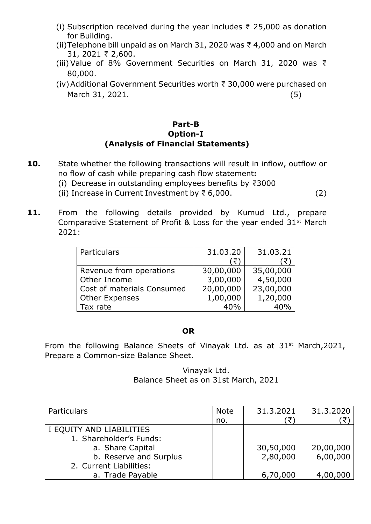- (i) Subscription received during the year includes  $\bar{\tau}$  25,000 as donation for Building.
- (ii)Telephone bill unpaid as on March 31, 2020 was ₹ 4,000 and on March 31, 2021 ₹ 2,600.
- (iii) Value of 8% Government Securities on March 31, 2020 was ₹ 80,000.
- (iv)Additional Government Securities worth ₹ 30,000 were purchased on March 31, 2021. (5)

# **Part-B Option-I (Analysis of Financial Statements)**

- **10.** State whether the following transactions will result in inflow, outflow or no flow of cash while preparing cash flow statement**:**
	- (i) Decrease in outstanding employees benefits by ₹3000
	- (ii) Increase in Current Investment by ₹ 6,000. (2)
- **11.** From the following details provided by Kumud Ltd., prepare Comparative Statement of Profit & Loss for the year ended 31st March 2021:

| Particulars                | 31.03.20  | 31.03.21  |
|----------------------------|-----------|-----------|
|                            | ′₹        |           |
| Revenue from operations    | 30,00,000 | 35,00,000 |
| Other Income               | 3,00,000  | 4,50,000  |
| Cost of materials Consumed | 20,00,000 | 23,00,000 |
| <b>Other Expenses</b>      | 1,00,000  | 1,20,000  |
| Tax rate                   | 40%       |           |

## **OR**

From the following Balance Sheets of Vinayak Ltd. as at 31<sup>st</sup> March, 2021, Prepare a Common-size Balance Sheet.

> Vinayak Ltd. Balance Sheet as on 31st March, 2021

| Particulars              | <b>Note</b> | 31.3.2021 | 31.3.2020 |
|--------------------------|-------------|-----------|-----------|
|                          | no.         | ₹,        |           |
| I EQUITY AND LIABILITIES |             |           |           |
| 1. Shareholder's Funds:  |             |           |           |
| a. Share Capital         |             | 30,50,000 | 20,00,000 |
| b. Reserve and Surplus   |             | 2,80,000  | 6,00,000  |
| 2. Current Liabilities:  |             |           |           |
| a. Trade Payable         |             | 6,70,000  | 4,00,000  |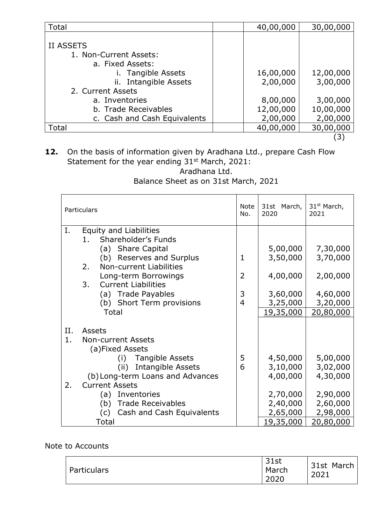| Total                                                                                                      | 40,00,000             | 30,00,000             |
|------------------------------------------------------------------------------------------------------------|-----------------------|-----------------------|
| <b>II ASSETS</b><br>1. Non-Current Assets:<br>a. Fixed Assets:<br>Tangible Assets<br>ii. Intangible Assets | 16,00,000<br>2,00,000 | 12,00,000<br>3,00,000 |
| 2. Current Assets                                                                                          |                       |                       |
| a. Inventories                                                                                             | 8,00,000              | 3,00,000              |
| b. Trade Receivables                                                                                       | 12,00,000             | 10,00,000             |
| c. Cash and Cash Equivalents                                                                               | 2,00,000              | 2,00,000              |
| Total                                                                                                      | 40,00,000             | 30,00,000             |

(3)

**12.** On the basis of information given by Aradhana Ltd., prepare Cash Flow Statement for the year ending 31<sup>st</sup> March, 2021: Aradhana Ltd.

# Balance Sheet as on 31st March, 2021

|     | Particulars                      | <b>Note</b><br>No. | 31st March,<br>2020 | 31 <sup>st</sup> March,<br>2021 |
|-----|----------------------------------|--------------------|---------------------|---------------------------------|
| Ι.  | <b>Equity and Liabilities</b>    |                    |                     |                                 |
|     | Shareholder's Funds<br>1.        |                    |                     |                                 |
|     | (a) Share Capital                |                    | 5,00,000            | 7,30,000                        |
|     | (b) Reserves and Surplus         | $\mathbf{1}$       | 3,50,000            | 3,70,000                        |
|     | Non-current Liabilities<br>2.    |                    |                     |                                 |
|     | Long-term Borrowings             | $\overline{2}$     | 4,00,000            | 2,00,000                        |
|     | 3.<br><b>Current Liabilities</b> | 3                  |                     |                                 |
|     | (a) Trade Payables               | $\overline{4}$     | 3,60,000            | 4,60,000                        |
|     | (b) Short Term provisions        |                    | 3,25,000            | 3,20,000                        |
|     | Total                            |                    | 19,35,000           | 20,80,000                       |
| II. | <b>Assets</b>                    |                    |                     |                                 |
| 1.  | <b>Non-current Assets</b>        |                    |                     |                                 |
|     | (a)Fixed Assets                  |                    |                     |                                 |
|     | (i) Tangible Assets              | 5                  | 4,50,000            | 5,00,000                        |
|     | <b>Intangible Assets</b><br>(ii) | 6                  | 3,10,000            | 3,02,000                        |
|     | (b) Long-term Loans and Advances |                    | 4,00,000            | 4,30,000                        |
| 2.  | <b>Current Assets</b>            |                    |                     |                                 |
|     | (a) Inventories                  |                    | 2,70,000            | 2,90,000                        |
|     | (b) Trade Receivables            |                    | 2,40,000            | 2,60,000                        |
|     | (c)<br>Cash and Cash Equivalents |                    | 2,65,000            | 2,98,000                        |
|     | <b>Total</b>                     |                    | <u>19,35,000</u>    | <u>20,80,000</u>                |

# Note to Accounts

| Particulars | 31st<br>March<br>2020 | 31st March<br>2021 |
|-------------|-----------------------|--------------------|
|-------------|-----------------------|--------------------|